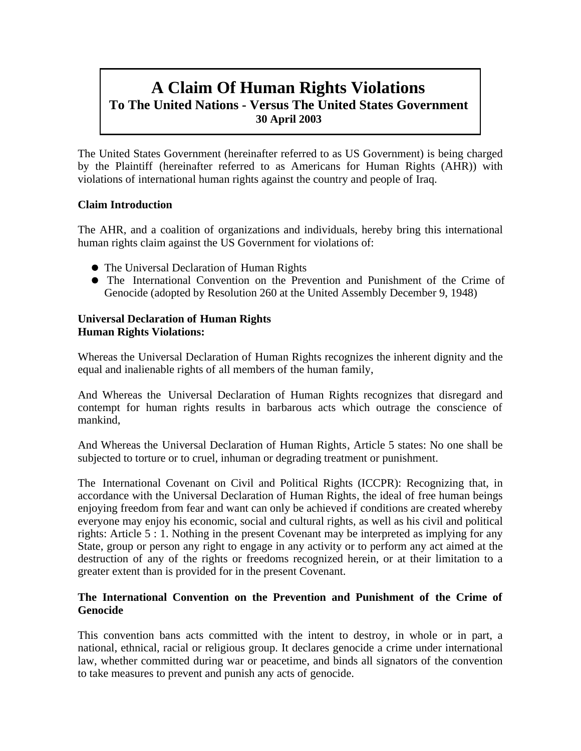# **A Claim Of Human Rights Violations To The United Nations - Versus The United States Government 30 April 2003**

The United States Government (hereinafter referred to as US Government) is being charged by the Plaintiff (hereinafter referred to as Americans for Human Rights (AHR)) with violations of international human rights against the country and people of Iraq.

# **Claim Introduction**

The AHR, and a coalition of organizations and individuals, hereby bring this international human rights claim against the US Government for violations of:

- The Universal Declaration of Human Rights
- The International Convention on the Prevention and Punishment of the Crime of Genocide (adopted by Resolution 260 at the United Assembly December 9, 1948)

# **Universal Declaration of Human Rights Human Rights Violations:**

Whereas the Universal Declaration of Human Rights recognizes the inherent dignity and the equal and inalienable rights of all members of the human family,

And Whereas the Universal Declaration of Human Rights recognizes that disregard and contempt for human rights results in barbarous acts which outrage the conscience of mankind,

And Whereas the Universal Declaration of Human Rights, Article 5 states: No one shall be subjected to torture or to cruel, inhuman or degrading treatment or punishment.

The International Covenant on Civil and Political Rights (ICCPR): Recognizing that, in accordance with the Universal Declaration of Human Rights, the ideal of free human beings enjoying freedom from fear and want can only be achieved if conditions are created whereby everyone may enjoy his economic, social and cultural rights, as well as his civil and political rights: Article 5 : 1. Nothing in the present Covenant may be interpreted as implying for any State, group or person any right to engage in any activity or to perform any act aimed at the destruction of any of the rights or freedoms recognized herein, or at their limitation to a greater extent than is provided for in the present Covenant.

# **The International Convention on the Prevention and Punishment of the Crime of Genocide**

This convention bans acts committed with the intent to destroy, in whole or in part, a national, ethnical, racial or religious group. It declares genocide a crime under international law, whether committed during war or peacetime, and binds all signators of the convention to take measures to prevent and punish any acts of genocide.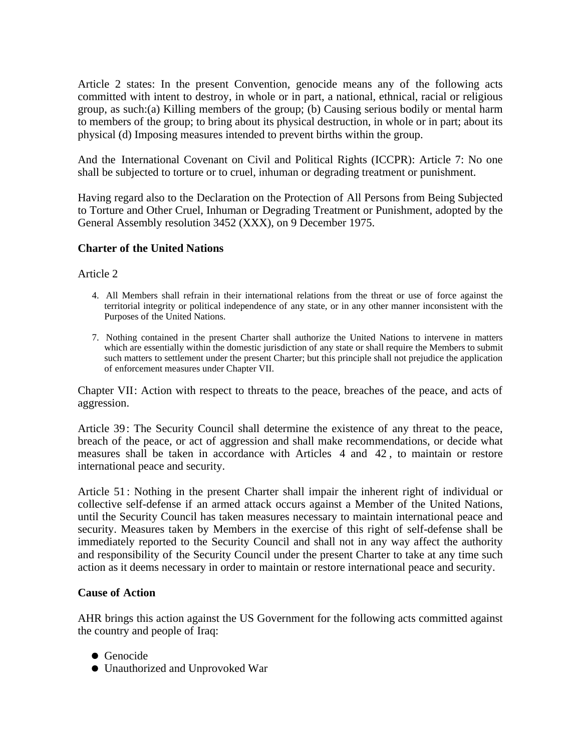Article 2 states: In the present Convention, genocide means any of the following acts committed with intent to destroy, in whole or in part, a national, ethnical, racial or religious group, as such:(a) Killing members of the group; (b) Causing serious bodily or mental harm to members of the group; to bring about its physical destruction, in whole or in part; about its physical (d) Imposing measures intended to prevent births within the group.

And the International Covenant on Civil and Political Rights (ICCPR): Article 7: No one shall be subjected to torture or to cruel, inhuman or degrading treatment or punishment.

Having regard also to the Declaration on the Protection of All Persons from Being Subjected to Torture and Other Cruel, Inhuman or Degrading Treatment or Punishment, adopted by the General Assembly resolution 3452 (XXX), on 9 December 1975.

# **Charter of the United Nations**

#### Article 2

- 4. All Members shall refrain in their international relations from the threat or use of force against the territorial integrity or political independence of any state, or in any other manner inconsistent with the Purposes of the United Nations.
- 7. Nothing contained in the present Charter shall authorize the United Nations to intervene in matters which are essentially within the domestic jurisdiction of any state or shall require the Members to submit such matters to settlement under the present Charter; but this principle shall not prejudice the application of enforcement measures under Chapter VII.

Chapter VII: Action with respect to threats to the peace, breaches of the peace, and acts of aggression.

Article 39: The Security Council shall determine the existence of any threat to the peace, breach of the peace, or act of aggression and shall make recommendations, or decide what measures shall be taken in accordance with Articles 4 and 42 , to maintain or restore international peace and security.

Article 51 : Nothing in the present Charter shall impair the inherent right of individual or collective self-defense if an armed attack occurs against a Member of the United Nations, until the Security Council has taken measures necessary to maintain international peace and security. Measures taken by Members in the exercise of this right of self-defense shall be immediately reported to the Security Council and shall not in any way affect the authority and responsibility of the Security Council under the present Charter to take at any time such action as it deems necessary in order to maintain or restore international peace and security.

# **Cause of Action**

AHR brings this action against the US Government for the following acts committed against the country and people of Iraq:

- **•** Genocide
- Unauthorized and Unprovoked War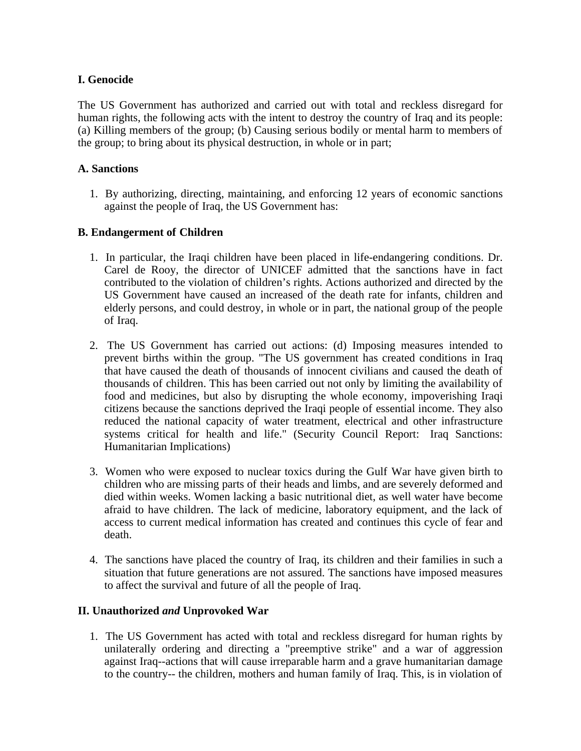# **I. Genocide**

The US Government has authorized and carried out with total and reckless disregard for human rights, the following acts with the intent to destroy the country of Iraq and its people: (a) Killing members of the group; (b) Causing serious bodily or mental harm to members of the group; to bring about its physical destruction, in whole or in part;

# **A. Sanctions**

1. By authorizing, directing, maintaining, and enforcing 12 years of economic sanctions against the people of Iraq, the US Government has:

# **B. Endangerment of Children**

- 1. In particular, the Iraqi children have been placed in life-endangering conditions. Dr. Carel de Rooy, the director of UNICEF admitted that the sanctions have in fact contributed to the violation of children's rights. Actions authorized and directed by the US Government have caused an increased of the death rate for infants, children and elderly persons, and could destroy, in whole or in part, the national group of the people of Iraq.
- 2. The US Government has carried out actions: (d) Imposing measures intended to prevent births within the group. "The US government has created conditions in Iraq that have caused the death of thousands of innocent civilians and caused the death of thousands of children. This has been carried out not only by limiting the availability of food and medicines, but also by disrupting the whole economy, impoverishing Iraqi citizens because the sanctions deprived the Iraqi people of essential income. They also reduced the national capacity of water treatment, electrical and other infrastructure systems critical for health and life." (Security Council Report: Iraq Sanctions: Humanitarian Implications)
- 3. Women who were exposed to nuclear toxics during the Gulf War have given birth to children who are missing parts of their heads and limbs, and are severely deformed and died within weeks. Women lacking a basic nutritional diet, as well water have become afraid to have children. The lack of medicine, laboratory equipment, and the lack of access to current medical information has created and continues this cycle of fear and death.
- 4. The sanctions have placed the country of Iraq, its children and their families in such a situation that future generations are not assured. The sanctions have imposed measures to affect the survival and future of all the people of Iraq.

# **II. Unauthorized** *and* **Unprovoked War**

1. The US Government has acted with total and reckless disregard for human rights by unilaterally ordering and directing a "preemptive strike" and a war of aggression against Iraq--actions that will cause irreparable harm and a grave humanitarian damage to the country-- the children, mothers and human family of Iraq. This, is in violation of